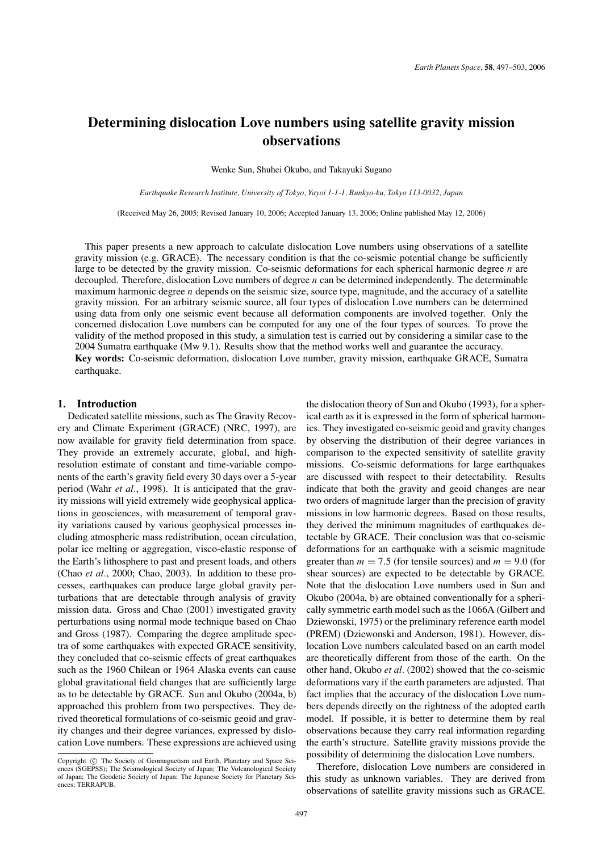# **Determining dislocation Love numbers using satellite gravity mission observations**

Wenke Sun, Shuhei Okubo, and Takayuki Sugano

*Earthquake Research Institute, University of Tokyo, Yayoi 1-1-1, Bunkyo-ku, Tokyo 113-0032, Japan*

(Received May 26, 2005; Revised January 10, 2006; Accepted January 13, 2006; Online published May 12, 2006)

This paper presents a new approach to calculate dislocation Love numbers using observations of a satellite gravity mission (e.g. GRACE). The necessary condition is that the co-seismic potential change be sufficiently large to be detected by the gravity mission. Co-seismic deformations for each spherical harmonic degree *n* are decoupled. Therefore, dislocation Love numbers of degree *n* can be determined independently. The determinable maximum harmonic degree *n* depends on the seismic size, source type, magnitude, and the accuracy of a satellite gravity mission. For an arbitrary seismic source, all four types of dislocation Love numbers can be determined using data from only one seismic event because all deformation components are involved together. Only the concerned dislocation Love numbers can be computed for any one of the four types of sources. To prove the validity of the method proposed in this study, a simulation test is carried out by considering a similar case to the 2004 Sumatra earthquake (Mw 9.1). Results show that the method works well and guarantee the accuracy. **Key words:** Co-seismic deformation, dislocation Love number, gravity mission, earthquake GRACE, Sumatra earthquake.

#### **1. Introduction**

Dedicated satellite missions, such as The Gravity Recovery and Climate Experiment (GRACE) (NRC, 1997), are now available for gravity field determination from space. They provide an extremely accurate, global, and highresolution estimate of constant and time-variable components of the earth's gravity field every 30 days over a 5-year period (Wahr *et al.*, 1998). It is anticipated that the gravity missions will yield extremely wide geophysical applications in geosciences, with measurement of temporal gravity variations caused by various geophysical processes including atmospheric mass redistribution, ocean circulation, polar ice melting or aggregation, visco-elastic response of the Earth's lithosphere to past and present loads, and others (Chao *et al.*, 2000; Chao, 2003). In addition to these processes, earthquakes can produce large global gravity perturbations that are detectable through analysis of gravity mission data. Gross and Chao (2001) investigated gravity perturbations using normal mode technique based on Chao and Gross (1987). Comparing the degree amplitude spectra of some earthquakes with expected GRACE sensitivity, they concluded that co-seismic effects of great earthquakes such as the 1960 Chilean or 1964 Alaska events can cause global gravitational field changes that are sufficiently large as to be detectable by GRACE. Sun and Okubo (2004a, b) approached this problem from two perspectives. They derived theoretical formulations of co-seismic geoid and gravity changes and their degree variances, expressed by dislocation Love numbers. These expressions are achieved using the dislocation theory of Sun and Okubo (1993), for a spherical earth as it is expressed in the form of spherical harmonics. They investigated co-seismic geoid and gravity changes by observing the distribution of their degree variances in comparison to the expected sensitivity of satellite gravity missions. Co-seismic deformations for large earthquakes are discussed with respect to their detectability. Results indicate that both the gravity and geoid changes are near two orders of magnitude larger than the precision of gravity missions in low harmonic degrees. Based on those results, they derived the minimum magnitudes of earthquakes detectable by GRACE. Their conclusion was that co-seismic deformations for an earthquake with a seismic magnitude greater than  $m = 7.5$  (for tensile sources) and  $m = 9.0$  (for shear sources) are expected to be detectable by GRACE. Note that the dislocation Love numbers used in Sun and Okubo (2004a, b) are obtained conventionally for a spherically symmetric earth model such as the 1066A (Gilbert and Dziewonski, 1975) or the preliminary reference earth model (PREM) (Dziewonski and Anderson, 1981). However, dislocation Love numbers calculated based on an earth model are theoretically different from those of the earth. On the other hand, Okubo *et al.* (2002) showed that the co-seismic deformations vary if the earth parameters are adjusted. That fact implies that the accuracy of the dislocation Love numbers depends directly on the rightness of the adopted earth model. If possible, it is better to determine them by real observations because they carry real information regarding the earth's structure. Satellite gravity missions provide the possibility of determining the dislocation Love numbers.

Therefore, dislocation Love numbers are considered in this study as unknown variables. They are derived from observations of satellite gravity missions such as GRACE.

Copyright  $\odot$  The Society of Geomagnetism and Earth, Planetary and Space Sciences (SGEPSS); The Seismological Society of Japan; The Volcanological Society of Japan; The Geodetic Society of Japan; The Japanese Society for Planetary Sciences; TERRAPUB.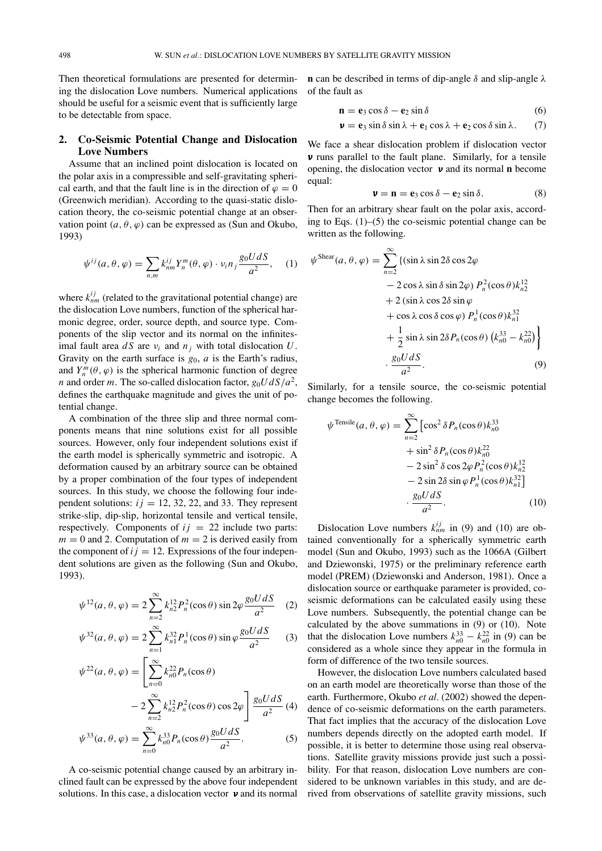Then theoretical formulations are presented for determining the dislocation Love numbers. Numerical applications should be useful for a seismic event that is sufficiently large to be detectable from space.

# **2. Co-Seismic Potential Change and Dislocation Love Numbers**

Assume that an inclined point dislocation is located on the polar axis in a compressible and self-gravitating spherical earth, and that the fault line is in the direction of  $\varphi = 0$ (Greenwich meridian). According to the quasi-static dislocation theory, the co-seismic potential change at an observation point  $(a, \theta, \varphi)$  can be expressed as (Sun and Okubo, 1993)

$$
\psi^{ij}(a,\theta,\varphi) = \sum_{n,m} k_{nm}^{ij} Y_n^m(\theta,\varphi) \cdot v_i n_j \frac{g_0 U dS}{a^2}, \quad (1)
$$

where  $k_{nm}^{ij}$  (related to the gravitational potential change) are the dislocation Love numbers, function of the spherical harmonic degree, order, source depth, and source type. Components of the slip vector and its normal on the infinitesimal fault area  $dS$  are  $v_i$  and  $n_j$  with total dislocation  $U$ . Gravity on the earth surface is *g*0, *a* is the Earth's radius, and  $Y_n^m(\theta, \varphi)$  is the spherical harmonic function of degree *n* and order *m*. The so-called dislocation factor,  $g_0 U dS/a^2$ , defines the earthquake magnitude and gives the unit of potential change.

A combination of the three slip and three normal components means that nine solutions exist for all possible sources. However, only four independent solutions exist if the earth model is spherically symmetric and isotropic. A deformation caused by an arbitrary source can be obtained by a proper combination of the four types of independent sources. In this study, we choose the following four independent solutions:  $i j = 12, 32, 22,$  and 33. They represent strike-slip, dip-slip, horizontal tensile and vertical tensile, respectively. Components of  $ij = 22$  include two parts:  $m = 0$  and 2. Computation of  $m = 2$  is derived easily from the component of  $ij = 12$ . Expressions of the four independent solutions are given as the following (Sun and Okubo, 1993).

$$
\psi^{12}(a,\theta,\varphi) = 2\sum_{n=2}^{\infty} k_{n2}^{12} P_n^2(\cos\theta) \sin 2\varphi \frac{g_0 U dS}{a^2} \tag{2}
$$

$$
\psi^{32}(a,\theta,\varphi) = 2\sum_{n=1}^{\infty} k_{n1}^{32} P_n^1(\cos\theta) \sin\varphi \frac{g_0 U dS}{a^2}
$$
 (3)

$$
\psi^{22}(a,\theta,\varphi) = \left[\sum_{n=0}^{\infty} k_{n0}^{22} P_n(\cos\theta) - 2\sum_{n=2}^{\infty} k_{n2}^{12} P_n^2(\cos\theta) \cos 2\varphi \right] \frac{g_0 U dS}{a^2} (4)
$$

$$
\psi^{33}(a,\theta,\varphi) = \sum_{n=0}^{\infty} k_{n0}^{33} P_n(\cos\theta) \frac{g_0 U dS}{a^2}.
$$
 (5)

A co-seismic potential change caused by an arbitrary inclined fault can be expressed by the above four independent solutions. In this case, a dislocation vector  $\nu$  and its normal **n** can be described in terms of dip-angle  $\delta$  and slip-angle  $\lambda$ of the fault as

$$
\mathbf{n} = \mathbf{e}_3 \cos \delta - \mathbf{e}_2 \sin \delta \tag{6}
$$

$$
\mathbf{v} = \mathbf{e}_3 \sin \delta \sin \lambda + \mathbf{e}_1 \cos \lambda + \mathbf{e}_2 \cos \delta \sin \lambda. \tag{7}
$$

We face a shear dislocation problem if dislocation vector ν runs parallel to the fault plane. Similarly, for a tensile opening, the dislocation vector ν and its normal **n** become equal:

$$
\mathbf{v} = \mathbf{n} = \mathbf{e}_3 \cos \delta - \mathbf{e}_2 \sin \delta. \tag{8}
$$

Then for an arbitrary shear fault on the polar axis, according to Eqs. (1)–(5) the co-seismic potential change can be written as the following.

$$
\psi^{\text{Shear}}(a,\theta,\varphi) = \sum_{n=2}^{\infty} \{ (\sin \lambda \sin 2\delta \cos 2\varphi \n- 2 \cos \lambda \sin \delta \sin 2\varphi) P_n^2(\cos \theta) k_{n2}^{12} \n+ 2 (\sin \lambda \cos 2\delta \sin \varphi \n+ \cos \lambda \cos \delta \cos \varphi) P_n^1(\cos \theta) k_{n1}^{32} \n+ \frac{1}{2} \sin \lambda \sin 2\delta P_n(\cos \theta) (k_{n0}^{33} - k_{n0}^{22}) \}
$$
\n
$$
\cdot \frac{g_0 U dS}{a^2}.
$$
\n(9)

Similarly, for a tensile source, the co-seismic potential change becomes the following.

$$
\psi^{\text{Tensile}}(a,\theta,\varphi) = \sum_{n=2}^{\infty} \left[ \cos^2 \delta P_n(\cos \theta) k_{n0}^{33} + \sin^2 \delta P_n(\cos \theta) k_{n0}^{22} - 2 \sin^2 \delta \cos 2\varphi P_n^2(\cos \theta) k_{n2}^{12} - 2 \sin 2\delta \sin \varphi P_n^1(\cos \theta) k_{n1}^{32} \right] - \frac{g_0 U dS}{a^2}.
$$
 (10)

Dislocation Love numbers  $k_{nm}^{ij}$  in (9) and (10) are obtained conventionally for a spherically symmetric earth model (Sun and Okubo, 1993) such as the 1066A (Gilbert and Dziewonski, 1975) or the preliminary reference earth model (PREM) (Dziewonski and Anderson, 1981). Once a dislocation source or earthquake parameter is provided, coseismic deformations can be calculated easily using these Love numbers. Subsequently, the potential change can be calculated by the above summations in (9) or (10). Note that the dislocation Love numbers  $k_{n0}^{33} - k_{n0}^{22}$  in (9) can be considered as a whole since they appear in the formula in form of difference of the two tensile sources.

However, the dislocation Love numbers calculated based on an earth model are theoretically worse than those of the earth. Furthermore, Okubo et al. (2002) showed the dependence of co-seismic deformations on the earth parameters. That fact implies that the accuracy of the dislocation Love numbers depends directly on the adopted earth model. If possible, it is better to determine those using real observations. Satellite gravity missions provide just such a possibility. For that reason, dislocation Love numbers are considered to be unknown variables in this study, and are derived from observations of satellite gravity missions, such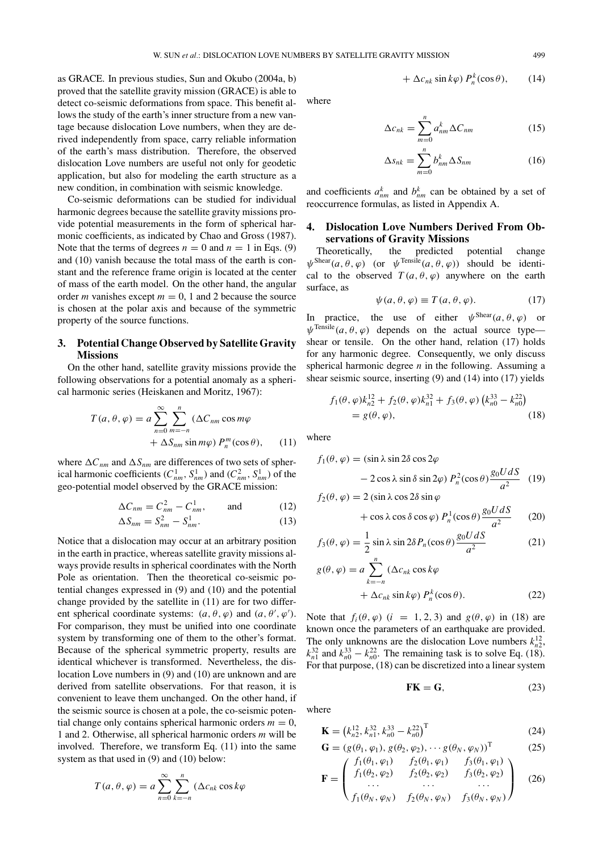as GRACE. In previous studies, Sun and Okubo (2004a, b) proved that the satellite gravity mission (GRACE) is able to detect co-seismic deformations from space. This benefit allows the study of the earth's inner structure from a new vantage because dislocation Love numbers, when they are derived independently from space, carry reliable information of the earth's mass distribution. Therefore, the observed dislocation Love numbers are useful not only for geodetic application, but also for modeling the earth structure as a new condition, in combination with seismic knowledge.

Co-seismic deformations can be studied for individual harmonic degrees because the satellite gravity missions provide potential measurements in the form of spherical harmonic coefficients, as indicated by Chao and Gross (1987). Note that the terms of degrees  $n = 0$  and  $n = 1$  in Eqs. (9) and (10) vanish because the total mass of the earth is constant and the reference frame origin is located at the center of mass of the earth model. On the other hand, the angular order *m* vanishes except  $m = 0$ , 1 and 2 because the source is chosen at the polar axis and because of the symmetric property of the source functions.

### **3. Potential Change Observed by Satellite Gravity Missions**

On the other hand, satellite gravity missions provide the following observations for a potential anomaly as a spherical harmonic series (Heiskanen and Moritz, 1967):

$$
T(a, \theta, \varphi) = a \sum_{n=0}^{\infty} \sum_{m=-n}^{n} (\Delta C_{nm} \cos m\varphi + \Delta S_{nm} \sin m\varphi) P_n^m(\cos \theta), \quad (11)
$$

where  $\Delta C_{nm}$  and  $\Delta S_{nm}$  are differences of two sets of spherical harmonic coefficients  $(C_{nm}^1, S_{nm}^1)$  and  $(C_{nm}^2, S_{nm}^1)$  of the geo-potential model observed by the GRACE mission:

$$
\Delta C_{nm} = C_{nm}^2 - C_{nm}^1, \quad \text{and} \quad (12)
$$

$$
\Delta S_{nm} = S_{nm}^2 - S_{nm}^1. \tag{13}
$$

Notice that a dislocation may occur at an arbitrary position in the earth in practice, whereas satellite gravity missions always provide results in spherical coordinates with the North Pole as orientation. Then the theoretical co-seismic potential changes expressed in (9) and (10) and the potential change provided by the satellite in (11) are for two different spherical coordinate systems:  $(a, \theta, \varphi)$  and  $(a, \theta', \varphi')$ . For comparison, they must be unified into one coordinate system by transforming one of them to the other's format. Because of the spherical symmetric property, results are identical whichever is transformed. Nevertheless, the dislocation Love numbers in (9) and (10) are unknown and are derived from satellite observations. For that reason, it is convenient to leave them unchanged. On the other hand, if the seismic source is chosen at a pole, the co-seismic potential change only contains spherical harmonic orders  $m = 0$ , 1 and 2. Otherwise, all spherical harmonic orders *m* will be involved. Therefore, we transform Eq. (11) into the same system as that used in (9) and (10) below:

$$
T(a,\theta,\varphi) = a \sum_{n=0}^{\infty} \sum_{k=-n}^{n} (\Delta c_{nk} \cos k\varphi)
$$

where

$$
\Delta c_{nk} = \sum_{m=0}^{n} a_{nm}^{k} \Delta C_{nm}
$$
 (15)

 $+ \Delta c_{nk} \sin k\varphi$ )  $P_n^k(\cos \theta)$ , (14)

$$
\Delta s_{nk} = \sum_{m=0}^{n} b_{nm}^{k} \Delta S_{nm}
$$
 (16)

and coefficients  $a_{nm}^k$  and  $b_{nm}^k$  can be obtained by a set of reoccurrence formulas, as listed in Appendix A.

# **4. Dislocation Love Numbers Derived From Observations of Gravity Missions**

Theoretically, the predicted potential change  $\psi^{\text{Shear}}(a, \theta, \varphi)$  (or  $\psi^{\text{Tensile}}(a, \theta, \varphi)$ ) should be identical to the observed  $T(a, \theta, \varphi)$  anywhere on the earth surface, as

$$
\psi(a,\theta,\varphi) \equiv T(a,\theta,\varphi). \tag{17}
$$

In practice, the use of either  $\psi^{\text{Shear}}(a, \theta, \varphi)$  or  $\psi^{\text{Tensile}}(a, \theta, \varphi)$  depends on the actual source type shear or tensile. On the other hand, relation (17) holds for any harmonic degree. Consequently, we only discuss spherical harmonic degree *n* in the following. Assuming a shear seismic source, inserting (9) and (14) into (17) yields

$$
f_1(\theta, \varphi) k_{n2}^{12} + f_2(\theta, \varphi) k_{n1}^{32} + f_3(\theta, \varphi) (k_{n0}^{33} - k_{n0}^{22})
$$
  
=  $g(\theta, \varphi)$ , (18)

where

$$
f_1(\theta, \varphi) = (\sin \lambda \sin 2\delta \cos 2\varphi - 2 \cos \lambda \sin \delta \sin 2\varphi) P_n^2(\cos \theta) \frac{g_0 U dS}{a^2}
$$
 (19)

$$
f_2(\theta, \varphi) = 2 \left( \sin \lambda \cos 2\delta \sin \varphi + \cos \lambda \cos \delta \cos \varphi \right) P_n^1(\cos \theta) \frac{g_0 U dS}{a^2}
$$
 (20)

$$
f_3(\theta, \varphi) = \frac{1}{2} \sin \lambda \sin 2\delta P_n(\cos \theta) \frac{g_0 U dS}{a^2}
$$
 (21)

$$
g(\theta, \varphi) = a \sum_{k=-n}^{n} (\Delta c_{nk} \cos k\varphi + \Delta c_{nk} \sin k\varphi) P_n^k(\cos \theta).
$$
 (22)

Note that  $f_i(\theta, \varphi)$  (*i* = 1, 2, 3) and  $g(\theta, \varphi)$  in (18) are known once the parameters of an earthquake are provided. The only unknowns are the dislocation Love numbers  $k_{n2}^{12}$ ,  $k_{n1}^{32}$  and  $k_{n0}^{33} - k_{n0}^{22}$ . The remaining task is to solve Eq. (18). For that purpose, (18) can be discretized into a linear system

$$
\mathbf{FK} = \mathbf{G},\tag{23}
$$

where

$$
\mathbf{K} = \left(k_{n2}^{12}, k_{n1}^{32}, k_{n0}^{33} - k_{n0}^{22}\right)^{\mathrm{T}}
$$
 (24)

$$
\mathbf{G} = (g(\theta_1, \varphi_1), g(\theta_2, \varphi_2), \cdots g(\theta_N, \varphi_N))^{\mathrm{T}} \tag{25}
$$
\n
$$
\int f_1(\theta_1, \varphi_1) \int f_2(\theta_1, \varphi_1) \int f_3(\theta_1, \varphi_1) \sqrt{\mathrm{d} \theta_1} \, d\theta_2
$$

$$
\mathbf{F} = \begin{pmatrix} f_1(\theta_2, \varphi_2) & f_2(\theta_2, \varphi_2) & f_3(\theta_2, \varphi_2) \\ \cdots & \cdots & \cdots \\ f_1(\theta_N, \varphi_N) & f_2(\theta_N, \varphi_N) & f_3(\theta_N, \varphi_N) \end{pmatrix}
$$
 (26)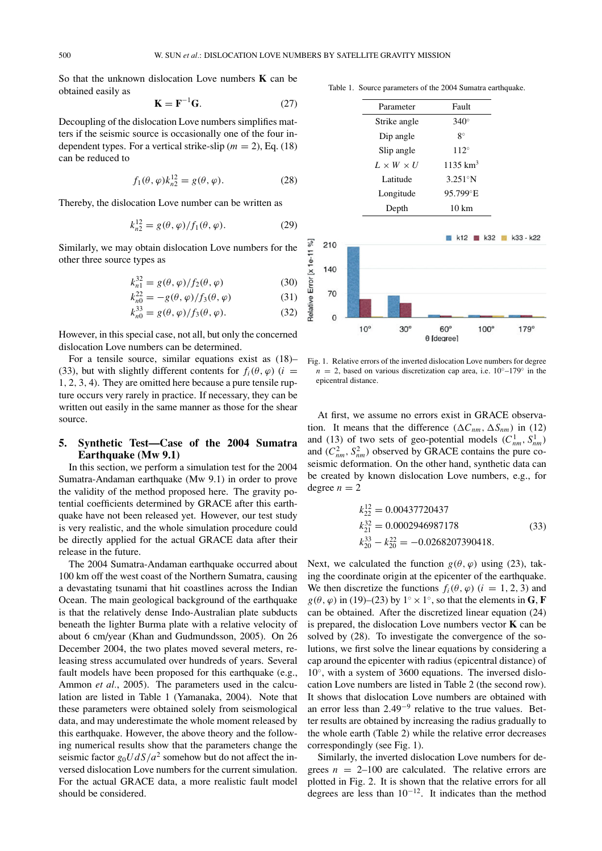So that the unknown dislocation Love numbers **K** can be obtained easily as

$$
\mathbf{K} = \mathbf{F}^{-1} \mathbf{G}.\tag{27}
$$

Decoupling of the dislocation Love numbers simplifies matters if the seismic source is occasionally one of the four independent types. For a vertical strike-slip ( $m = 2$ ), Eq. (18) can be reduced to

$$
f_1(\theta, \varphi) k_{n2}^{12} = g(\theta, \varphi).
$$
 (28)

Thereby, the dislocation Love number can be written as

$$
k_{n2}^{12} = g(\theta, \varphi) / f_1(\theta, \varphi).
$$
 (29)

Similarly, we may obtain dislocation Love numbers for the other three source types as

$$
k_{n1}^{32} = g(\theta, \varphi) / f_2(\theta, \varphi)
$$
 (30)

$$
k_{n0}^{22} = -g(\theta, \varphi) / f_3(\theta, \varphi)
$$
 (31)

$$
k_{n0}^{33} = g(\theta, \varphi) / f_3(\theta, \varphi).
$$
 (32)

However, in this special case, not all, but only the concerned dislocation Love numbers can be determined.

For a tensile source, similar equations exist as (18)– (33), but with slightly different contents for  $f_i(\theta, \varphi)$  (*i* = 1, 2, 3, 4). They are omitted here because a pure tensile rupture occurs very rarely in practice. If necessary, they can be written out easily in the same manner as those for the shear source.

# **5. Synthetic Test—Case of the 2004 Sumatra Earthquake (Mw 9.1)**

In this section, we perform a simulation test for the 2004 Sumatra-Andaman earthquake (Mw 9.1) in order to prove the validity of the method proposed here. The gravity potential coefficients determined by GRACE after this earthquake have not been released yet. However, our test study is very realistic, and the whole simulation procedure could be directly applied for the actual GRACE data after their release in the future.

The 2004 Sumatra-Andaman earthquake occurred about 100 km off the west coast of the Northern Sumatra, causing a devastating tsunami that hit coastlines across the Indian Ocean. The main geological background of the earthquake is that the relatively dense Indo-Australian plate subducts beneath the lighter Burma plate with a relative velocity of about 6 cm/year (Khan and Gudmundsson, 2005). On 26 December 2004, the two plates moved several meters, releasing stress accumulated over hundreds of years. Several fault models have been proposed for this earthquake (e.g., Ammon *et al.*, 2005). The parameters used in the calculation are listed in Table 1 (Yamanaka, 2004). Note that these parameters were obtained solely from seismological data, and may underestimate the whole moment released by this earthquake. However, the above theory and the following numerical results show that the parameters change the seismic factor  $g_0 U dS/a^2$  somehow but do not affect the inversed dislocation Love numbers for the current simulation. For the actual GRACE data, a more realistic fault model should be considered.

Table 1. Source parameters of the 2004 Sumatra earthquake.

| Parameter             | Fault               |
|-----------------------|---------------------|
| Strike angle          | $340^\circ$         |
| Dip angle             | $8^{\circ}$         |
| Slip angle            | $112^\circ$         |
| $L \times W \times U$ | $1135 \text{ km}^3$ |
| Latitude              | $3.251^{\circ}N$    |
| Longitude             | 95.799°E            |
| Depth                 | $10 \text{ km}$     |
|                       |                     |



Fig. 1. Relative errors of the inverted dislocation Love numbers for degree  $n = 2$ , based on various discretization cap area, i.e. 10<sup>°</sup>–179<sup>°</sup> in the epicentral distance.

At first, we assume no errors exist in GRACE observation. It means that the difference  $(\Delta C_{nm}, \Delta S_{nm})$  in (12) and (13) of two sets of geo-potential models  $(C_{nm}^1, S_{nm}^1)$ and  $(C_{nm}^2, S_{nm}^2)$  observed by GRACE contains the pure coseismic deformation. On the other hand, synthetic data can be created by known dislocation Love numbers, e.g., for degree  $n = 2$ 

$$
k_{22}^{12} = 0.00437720437
$$
  
\n
$$
k_{21}^{32} = 0.0002946987178
$$
  
\n
$$
k_{20}^{33} - k_{20}^{22} = -0.0268207390418.
$$
\n(33)

Next, we calculated the function  $g(\theta, \varphi)$  using (23), taking the coordinate origin at the epicenter of the earthquake. We then discretize the functions  $f_i(\theta, \varphi)$  ( $i = 1, 2, 3$ ) and  $g(\theta, \varphi)$  in (19)–(23) by  $1^\circ \times 1^\circ$ , so that the elements in **G**, **F** can be obtained. After the discretized linear equation (24) is prepared, the dislocation Love numbers vector **K** can be solved by (28). To investigate the convergence of the solutions, we first solve the linear equations by considering a cap around the epicenter with radius (epicentral distance) of 10◦, with a system of 3600 equations. The inversed dislocation Love numbers are listed in Table 2 (the second row). It shows that dislocation Love numbers are obtained with an error less than 2.49−<sup>9</sup> relative to the true values. Better results are obtained by increasing the radius gradually to the whole earth (Table 2) while the relative error decreases correspondingly (see Fig. 1).

Similarly, the inverted dislocation Love numbers for degrees  $n = 2{\text -}100$  are calculated. The relative errors are plotted in Fig. 2. It is shown that the relative errors for all degrees are less than  $10^{-12}$ . It indicates than the method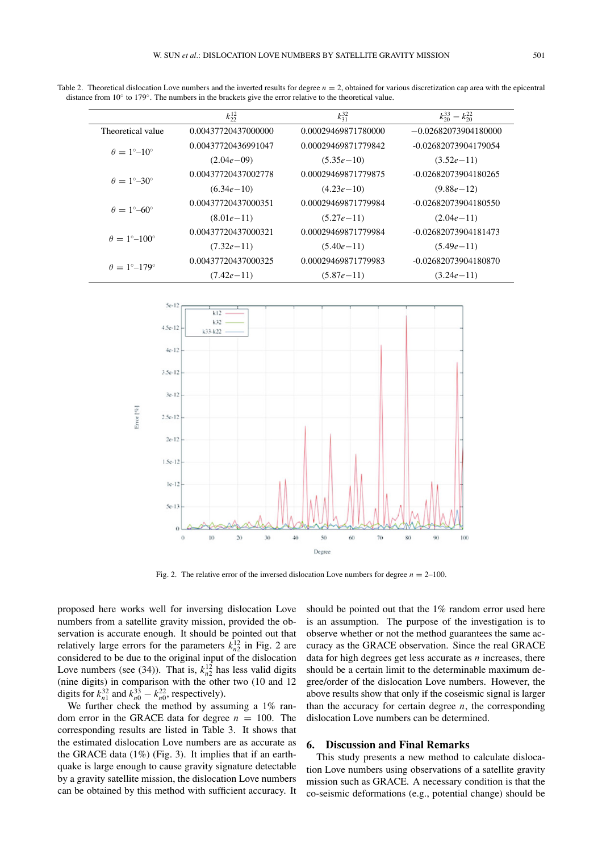|                                    | $k_{22}^{12}$       | $k_{31}^{32}$       | $k_{20}^{33} - k_{20}^{22}$ |
|------------------------------------|---------------------|---------------------|-----------------------------|
| Theoretical value                  | 0.00437720437000000 | 0.00029469871780000 | $-0.02682073904180000$      |
| $\theta = 1^{\circ}-10^{\circ}$    | 0.00437720436991047 | 0.00029469871779842 | -0.02682073904179054        |
|                                    | $(2.04e - 09)$      | $(5.35e-10)$        | $(3.52e-11)$                |
| $\theta = 1^{\circ} - 30^{\circ}$  | 0.00437720437002778 | 0.00029469871779875 | -0.02682073904180265        |
|                                    | $(6.34e-10)$        | $(4.23e-10)$        | $(9.88e-12)$                |
|                                    | 0.00437720437000351 | 0.00029469871779984 | $-0.02682073904180550$      |
| $\theta = 1^{\circ} - 60^{\circ}$  | $(8.01e-11)$        | $(5.27e-11)$        | $(2.04e-11)$                |
|                                    | 0.00437720437000321 | 0.00029469871779984 | $-0.02682073904181473$      |
| $\theta = 1^{\circ} - 100^{\circ}$ | $(7.32e-11)$        | $(5.40e-11)$        | $(5.49e-11)$                |
|                                    | 0.00437720437000325 | 0.00029469871779983 | -0.02682073904180870        |
| $\theta = 1^{\circ}-179^{\circ}$   | $(7.42e-11)$        | $(5.87e-11)$        | $(3.24e-11)$                |

Table 2. Theoretical dislocation Love numbers and the inverted results for degree  $n = 2$ , obtained for various discretization cap area with the epicentral distance from 10◦ to 179◦. The numbers in the brackets give the error relative to the theoretical value.



Fig. 2. The relative error of the inversed dislocation Love numbers for degree  $n = 2-100$ .

proposed here works well for inversing dislocation Love numbers from a satellite gravity mission, provided the observation is accurate enough. It should be pointed out that relatively large errors for the parameters  $k_{n2}^{12}$  in Fig. 2 are considered to be due to the original input of the dislocation Love numbers (see (34)). That is,  $k_{n2}^{12}$  has less valid digits (nine digits) in comparison with the other two (10 and 12 digits for  $k_{n1}^{32}$  and  $k_{n0}^{33} - k_{n0}^{22}$ , respectively).

We further check the method by assuming a 1% random error in the GRACE data for degree  $n = 100$ . The corresponding results are listed in Table 3. It shows that the estimated dislocation Love numbers are as accurate as the GRACE data (1%) (Fig. 3). It implies that if an earthquake is large enough to cause gravity signature detectable by a gravity satellite mission, the dislocation Love numbers can be obtained by this method with sufficient accuracy. It should be pointed out that the 1% random error used here is an assumption. The purpose of the investigation is to observe whether or not the method guarantees the same accuracy as the GRACE observation. Since the real GRACE data for high degrees get less accurate as *n* increases, there should be a certain limit to the determinable maximum degree/order of the dislocation Love numbers. However, the above results show that only if the coseismic signal is larger than the accuracy for certain degree  $n$ , the corresponding dislocation Love numbers can be determined.

#### **6. Discussion and Final Remarks**

This study presents a new method to calculate dislocation Love numbers using observations of a satellite gravity mission such as GRACE. A necessary condition is that the co-seismic deformations (e.g., potential change) should be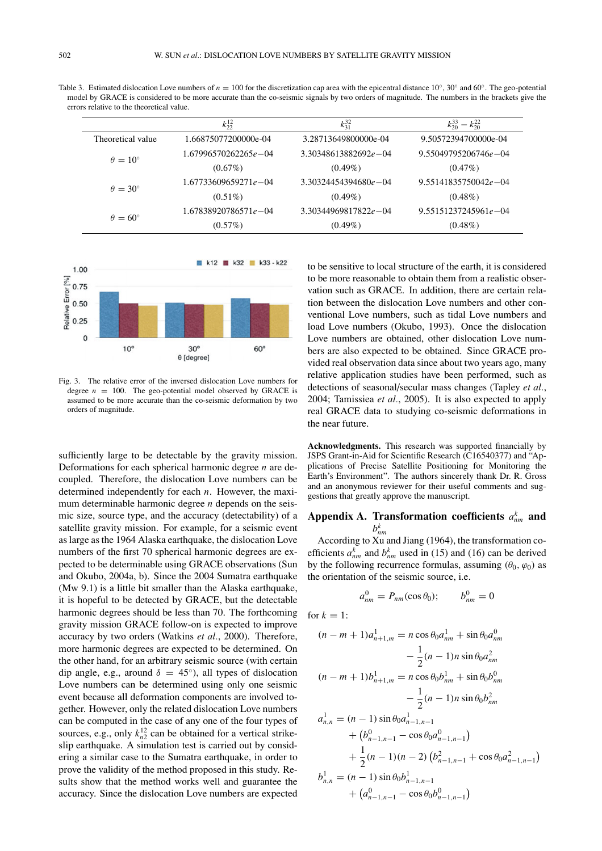Table 3. Estimated dislocation Love numbers of *n* = 100 for the discretization cap area with the epicentral distance 10◦, 30◦ and 60◦. The geo-potential model by GRACE is considered to be more accurate than the co-seismic signals by two orders of magnitude. The numbers in the brackets give the errors relative to the theoretical value.

|                       | $k_{22}^{12}$            | $k_{31}^{32}$            | $k_{20}^{33}$<br>$-k_{20}^{22}$ |
|-----------------------|--------------------------|--------------------------|---------------------------------|
| Theoretical value     | 1.66875077200000e-04     | 3.28713649800000e-04     | 9.50572394700000e-04            |
| $\theta = 10^{\circ}$ | $1.67996570262265e - 04$ | $3.30348613882692e - 04$ | 9.55049795206746e-04            |
|                       | $(0.67\%)$               | $(0.49\%)$               | $(0.47\%)$                      |
| $\theta = 30^{\circ}$ | $1.67733609659271e - 04$ | $3.30324454394680e - 04$ | $9.55141835750042e - 04$        |
|                       | $(0.51\%)$               | $(0.49\%)$               | $(0.48\%)$                      |
| $\theta = 60^{\circ}$ | $1.67838920786571e - 04$ | $3.30344969817822e - 04$ | $9.55151237245961e - 04$        |
|                       | $(0.57\%)$               | $(0.49\%)$               | $(0.48\%)$                      |



Fig. 3. The relative error of the inversed dislocation Love numbers for degree  $n = 100$ . The geo-potential model observed by GRACE is assumed to be more accurate than the co-seismic deformation by two orders of magnitude.

sufficiently large to be detectable by the gravity mission. Deformations for each spherical harmonic degree *n* are decoupled. Therefore, the dislocation Love numbers can be determined independently for each *n*. However, the maximum determinable harmonic degree *n* depends on the seismic size, source type, and the accuracy (detectability) of a satellite gravity mission. For example, for a seismic event as large as the 1964 Alaska earthquake, the dislocation Love numbers of the first 70 spherical harmonic degrees are expected to be determinable using GRACE observations (Sun and Okubo, 2004a, b). Since the 2004 Sumatra earthquake (Mw 9.1) is a little bit smaller than the Alaska earthquake, it is hopeful to be detected by GRACE, but the detectable harmonic degrees should be less than 70. The forthcoming gravity mission GRACE follow-on is expected to improve accuracy by two orders (Watkins *et al.*, 2000). Therefore, more harmonic degrees are expected to be determined. On the other hand, for an arbitrary seismic source (with certain dip angle, e.g., around  $\delta = 45^{\circ}$ ), all types of dislocation Love numbers can be determined using only one seismic event because all deformation components are involved together. However, only the related dislocation Love numbers can be computed in the case of any one of the four types of sources, e.g., only  $k_{n2}^{12}$  can be obtained for a vertical strikeslip earthquake. A simulation test is carried out by considering a similar case to the Sumatra earthquake, in order to prove the validity of the method proposed in this study. Results show that the method works well and guarantee the accuracy. Since the dislocation Love numbers are expected

to be sensitive to local structure of the earth, it is considered to be more reasonable to obtain them from a realistic observation such as GRACE. In addition, there are certain relation between the dislocation Love numbers and other conventional Love numbers, such as tidal Love numbers and load Love numbers (Okubo, 1993). Once the dislocation Love numbers are obtained, other dislocation Love numbers are also expected to be obtained. Since GRACE provided real observation data since about two years ago, many relative application studies have been performed, such as detections of seasonal/secular mass changes (Tapley *et al.*, 2004; Tamissiea *et al.*, 2005). It is also expected to apply real GRACE data to studying co-seismic deformations in the near future.

**Acknowledgments.** This research was supported financially by JSPS Grant-in-Aid for Scientific Research (C16540377) and "Applications of Precise Satellite Positioning for Monitoring the Earth's Environment". The authors sincerely thank Dr. R. Gross and an anonymous reviewer for their useful comments and suggestions that greatly approve the manuscript.

# Appendix A. Transformation coefficients  $a_{nm}^k$  and  $b^k_{nm}$

According to Xu and Jiang (1964), the transformation coefficients  $a_{nm}^k$  and  $b_{nm}^k$  used in (15) and (16) can be derived by the following recurrence formulas, assuming  $(\theta_0, \varphi_0)$  as the orientation of the seismic source, i.e.

$$
a_{nm}^0 = P_{nm}(\cos \theta_0); \qquad b_{nm}^0 = 0
$$

for  $k = 1$ :

$$
(n - m + 1)a_{n+1,m}^1 = n \cos \theta_0 a_{nm}^1 + \sin \theta_0 a_{nm}^0
$$
  
\n
$$
- \frac{1}{2}(n - 1)n \sin \theta_0 a_{nm}^2
$$
  
\n
$$
(n - m + 1)b_{n+1,m}^1 = n \cos \theta_0 b_{nm}^1 + \sin \theta_0 b_{nm}^0
$$
  
\n
$$
- \frac{1}{2}(n - 1)n \sin \theta_0 b_{nm}^2
$$
  
\n
$$
a_{n,n}^1 = (n - 1) \sin \theta_0 a_{n-1,n-1}^1
$$
  
\n
$$
+ (b_{n-1,n-1}^0 - \cos \theta_0 a_{n-1,n-1}^0)
$$
  
\n
$$
+ \frac{1}{2}(n - 1)(n - 2) (b_{n-1,n-1}^2 + \cos \theta_0 a_{n-1,n-1}^2)
$$
  
\n
$$
b_{n,n}^1 = (n - 1) \sin \theta_0 b_{n-1,n-1}^1
$$
  
\n
$$
+ (a_{n-1,n-1}^0 - \cos \theta_0 b_{n-1,n-1}^0)
$$